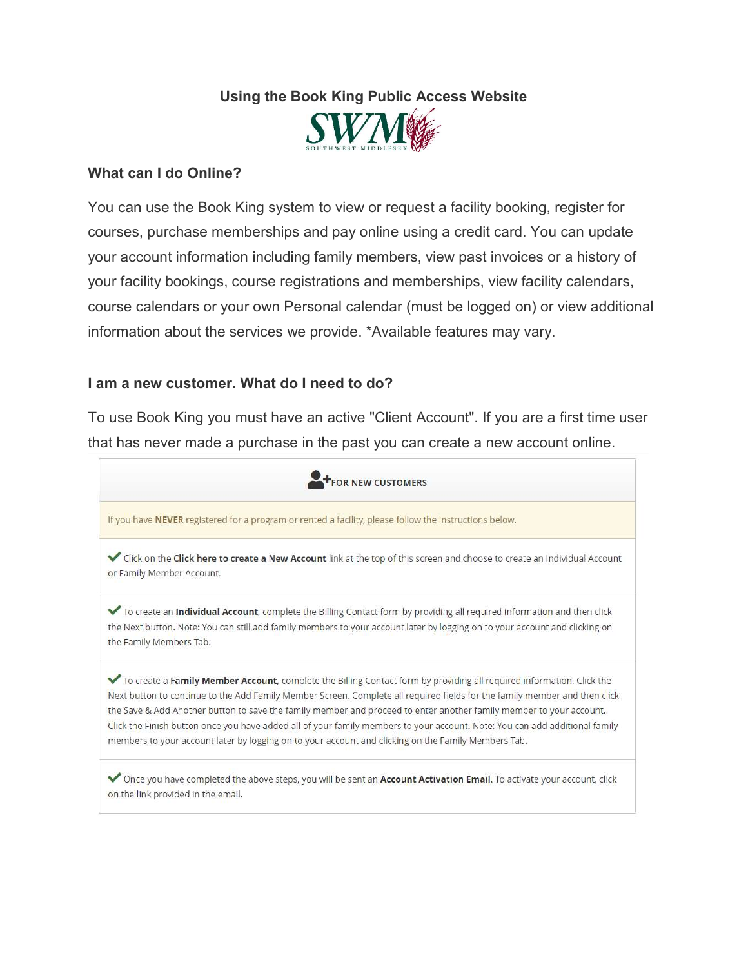## Using the Book King Public Access Website



## What can I do Online?

You can use the Book King system to view or request a facility booking, register for courses, purchase memberships and pay online using a credit card. You can update your account information including family members, view past invoices or a history of your facility bookings, course registrations and memberships, view facility calendars, course calendars or your own Personal calendar (must be logged on) or view additional information about the services we provide. \*Available features may vary.

## I am a new customer. What do I need to do?

To use Book King you must have an active "Client Account". If you are a first time user that has never made a purchase in the past you can create a new account online.

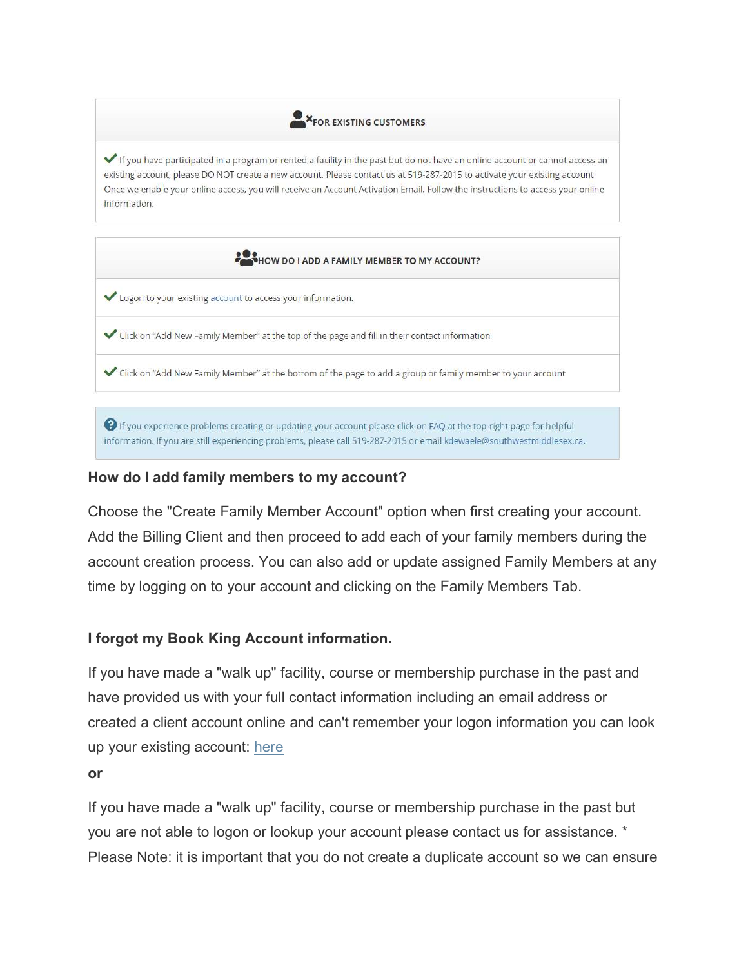**X**FOR EXISTING CUSTOMERS

If you have participated in a program or rented a facility in the past but do not have an online account or cannot access an existing account, please DO NOT create a new account. Please contact us at 519-287-2015 to activate your existing account. Once we enable your online access, you will receive an Account Activation Email. Follow the instructions to access your online information.



information. If you are still experiencing problems, please call 519-287-2015 or email kdewaele@southwestmiddlesex.ca.

## How do I add family members to my account?

Choose the "Create Family Member Account" option when first creating your account. Add the Billing Client and then proceed to add each of your family members during the account creation process. You can also add or update assigned Family Members at any time by logging on to your account and clicking on the Family Members Tab.

## I forgot my Book King Account information.

If you have made a "walk up" facility, course or membership purchase in the past and have provided us with your full contact information including an email address or created a client account online and can't remember your logon information you can look up your existing account: here

#### or

If you have made a "walk up" facility, course or membership purchase in the past but you are not able to logon or lookup your account please contact us for assistance. \* Please Note: it is important that you do not create a duplicate account so we can ensure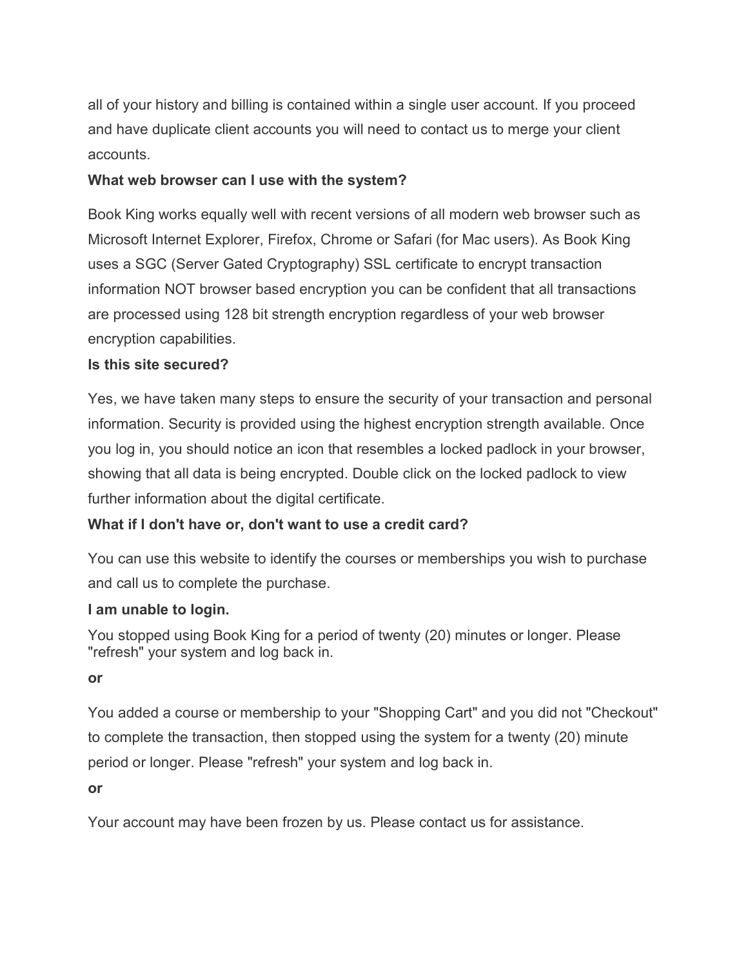all of your history and billing is contained within a single user account. If you proceed and have duplicate client accounts you will need to contact us to merge your client accounts.

# What web browser can I use with the system?

Book King works equally well with recent versions of all modern web browser such as Microsoft Internet Explorer, Firefox, Chrome or Safari (for Mac users). As Book King uses a SGC (Server Gated Cryptography) SSL certificate to encrypt transaction information NOT browser based encryption you can be confident that all transactions are processed using 128 bit strength encryption regardless of your web browser encryption capabilities.

## Is this site secured?

Yes, we have taken many steps to ensure the security of your transaction and personal information. Security is provided using the highest encryption strength available. Once you log in, you should notice an icon that resembles a locked padlock in your browser, showing that all data is being encrypted. Double click on the locked padlock to view further information about the digital certificate.

## What if I don't have or, don't want to use a credit card?

You can use this website to identify the courses or memberships you wish to purchase and call us to complete the purchase.

## I am unable to login.

You stopped using Book King for a period of twenty (20) minutes or longer. Please "refresh" your system and log back in.

## or

You added a course or membership to your "Shopping Cart" and you did not "Checkout" to complete the transaction, then stopped using the system for a twenty (20) minute period or longer. Please "refresh" your system and log back in.

or

Your account may have been frozen by us. Please contact us for assistance.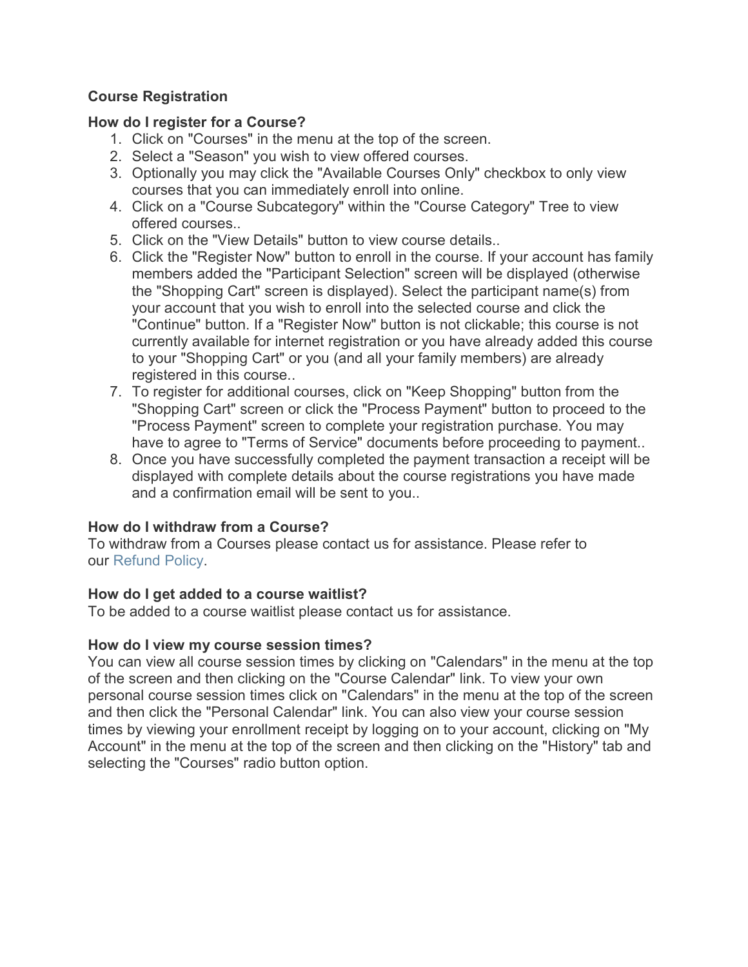## Course Registration

## How do I register for a Course?

- 1. Click on "Courses" in the menu at the top of the screen.
- 2. Select a "Season" you wish to view offered courses.
- 3. Optionally you may click the "Available Courses Only" checkbox to only view courses that you can immediately enroll into online.
- 4. Click on a "Course Subcategory" within the "Course Category" Tree to view offered courses..
- 5. Click on the "View Details" button to view course details..
- 6. Click the "Register Now" button to enroll in the course. If your account has family members added the "Participant Selection" screen will be displayed (otherwise the "Shopping Cart" screen is displayed). Select the participant name(s) from your account that you wish to enroll into the selected course and click the "Continue" button. If a "Register Now" button is not clickable; this course is not currently available for internet registration or you have already added this course to your "Shopping Cart" or you (and all your family members) are already registered in this course..
- 7. To register for additional courses, click on "Keep Shopping" button from the "Shopping Cart" screen or click the "Process Payment" button to proceed to the "Process Payment" screen to complete your registration purchase. You may have to agree to "Terms of Service" documents before proceeding to payment..
- 8. Once you have successfully completed the payment transaction a receipt will be displayed with complete details about the course registrations you have made and a confirmation email will be sent to you..

## How do I withdraw from a Course?

To withdraw from a Courses please contact us for assistance. Please refer to our Refund Policy.

## How do I get added to a course waitlist?

To be added to a course waitlist please contact us for assistance.

## How do I view my course session times?

You can view all course session times by clicking on "Calendars" in the menu at the top of the screen and then clicking on the "Course Calendar" link. To view your own personal course session times click on "Calendars" in the menu at the top of the screen and then click the "Personal Calendar" link. You can also view your course session times by viewing your enrollment receipt by logging on to your account, clicking on "My Account" in the menu at the top of the screen and then clicking on the "History" tab and selecting the "Courses" radio button option.